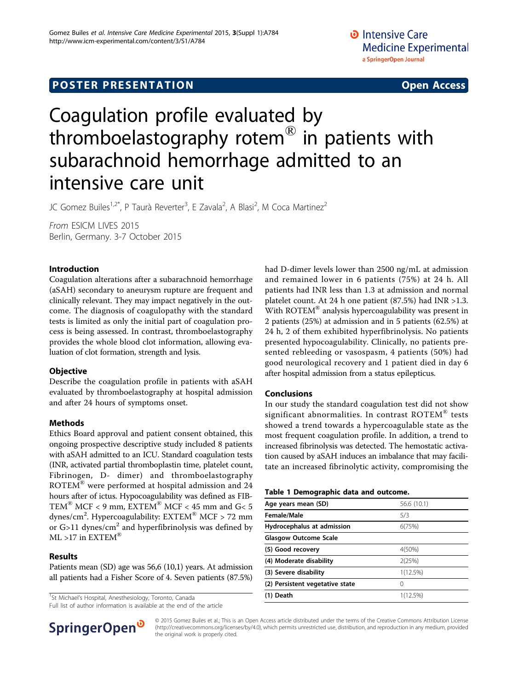# **POSTER PRESENTATION CONSUMING THE SERVICE SERVICE SERVICES**

# Coagulation profile evaluated by thromboelastography rotem® in patients with subarachnoid hemorrhage admitted to an intensive care unit

JC Gomez Builes<sup>1,2\*</sup>, P Taurà Reverter<sup>3</sup>, E Zavala<sup>2</sup>, A Blasi<sup>2</sup>, M Coca Martinez<sup>2</sup>

From ESICM LIVES 2015 Berlin, Germany. 3-7 October 2015

# Introduction

Coagulation alterations after a subarachnoid hemorrhage (aSAH) secondary to aneurysm rupture are frequent and clinically relevant. They may impact negatively in the outcome. The diagnosis of coagulopathy with the standard tests is limited as only the initial part of coagulation process is being assessed. In contrast, thromboelastography provides the whole blood clot information, allowing evaluation of clot formation, strength and lysis.

# **Objective**

Describe the coagulation profile in patients with aSAH evaluated by thromboelastography at hospital admission and after 24 hours of symptoms onset.

# Methods

Ethics Board approval and patient consent obtained, this ongoing prospective descriptive study included 8 patients with aSAH admitted to an ICU. Standard coagulation tests (INR, activated partial thromboplastin time, platelet count, Fibrinogen, D- dimer) and thromboelastography ROTEM® were performed at hospital admission and 24 hours after of ictus. Hypocoagulability was defined as FIB-TEM<sup>®</sup> MCF < 9 mm, EXTEM<sup>®</sup> MCF < 45 mm and G< 5 dynes/cm $^2$ . Hypercoagulability:  $\text{EXTEM}^{\circledR}$  MCF > 72 mm or  $G>11$  dynes/cm<sup>2</sup> and hyperfibrinolysis was defined by  $ML > 17$  in EXTEM®

# Results

Patients mean (SD) age was 56,6 (10,1) years. At admission all patients had a Fisher Score of 4. Seven patients (87.5%)

<sup>1</sup>St Michael's Hospital, Anesthesiology, Toronto, Canada

Full list of author information is available at the end of the article



had D-dimer levels lower than 2500 ng/mL at admission and remained lower in 6 patients (75%) at 24 h. All patients had INR less than 1.3 at admission and normal platelet count. At 24 h one patient (87.5%) had INR >1.3. With ROTEM<sup>®</sup> analysis hypercoagulability was present in 2 patients (25%) at admission and in 5 patients (62.5%) at 24 h, 2 of them exhibited hyperfibrinolysis. No patients presented hypocoagulability. Clinically, no patients presented rebleeding or vasospasm, 4 patients (50%) had good neurological recovery and 1 patient died in day 6 after hospital admission from a status epilepticus.

# Conclusions

In our study the standard coagulation test did not show significant abnormalities. In contrast ROTEM® tests showed a trend towards a hypercoagulable state as the most frequent coagulation profile. In addition, a trend to increased fibrinolysis was detected. The hemostatic activation caused by aSAH induces an imbalance that may facilitate an increased fibrinolytic activity, compromising the

### Table 1 Demographic data and outcome.

| Age years mean (SD)             | 56.6 (10.1)      |  |
|---------------------------------|------------------|--|
| Female/Male                     | 5/3              |  |
| Hydrocephalus at admission      | 6(75%)           |  |
| <b>Glasgow Outcome Scale</b>    |                  |  |
| (5) Good recovery               | 4(50%)           |  |
| (4) Moderate disability         | 2(25%)           |  |
| (3) Severe disability           | 1(12.5%)         |  |
| (2) Persistent vegetative state | $\left( \right)$ |  |
| (1) Death                       | 1(12.5%)         |  |
|                                 |                  |  |

© 2015 Gomez Builes et al.; This is an Open Access article distributed under the terms of the Creative Commons Attribution License [\(http://creativecommons.org/licenses/by/4.0](http://creativecommons.org/licenses/by/4.0)), which permits unrestricted use, distribution, and reproduction in any medium, provided the original work is properly cited.